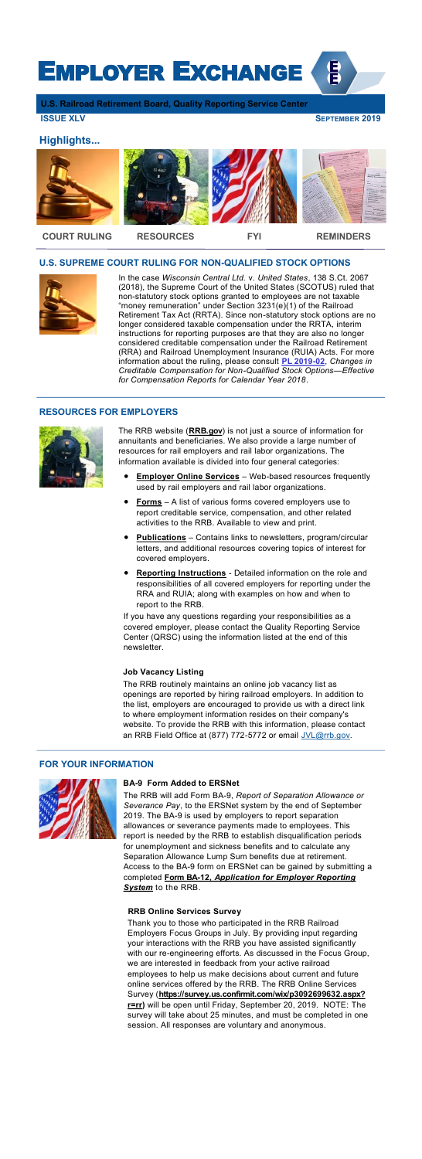# EMPLOYER EXCHANGE

**U.S. Railroad Retirement Board, Quality Reporting Service Center**

**ISSUE XLV SEPTEMBER 2019** 

倡

# **U.S. SUPREME COURT RULING FOR NON-QUALIFIED STOCK OPTIONS**



**I**n the case *Wisconsin Central Ltd.* v. *United States*, 138 S.Ct. 2067 (2018), the Supreme Court of the United States (SCOTUS) ruled that non-statutory stock options granted to employees are not taxable "money remuneration" under Section 3231(e)(1) of the Railroad Retirement Tax Act (RRTA). Since non-statutory stock options are no longer considered taxable compensation under the RRTA, interim instructions for reporting purposes are that they are also no longer considered creditable compensation under the Railroad Retirement (RRA) and Railroad Unemployment Insurance (RUIA) Acts. For more information about the ruling, please consult **[PL 2019](https://rrb.gov/Employers/Publications/ProgramAndCircularLetters/PL19-02)-02**, *Changes in Creditable Compensation for Non-Qualified Stock Options—Effective for Compensation Reports for Calendar Year 2018*.

# **RESOURCES FOR EMPLOYERS**



 $\overline{a}$ 

The RRB routinely maintains an online job vacancy list as openings are reported by hiring railroad employers. In addition to the list, employers are encouraged to provide us with a direct link to where employment information resides on their company's website. To provide the RRB with this information, please contact an RRB Field Office at (877) 772-5772 or email [JVL@rrb.gov.](mailto:JVL@rrb.gov)

The RRB website (**[RRB.gov](https://www.rrb.gov/)**) is not just a source of information for annuitants and beneficiaries. We also provide a large number of resources for rail employers and rail labor organizations. The information available is divided into four general categories:

The RRB will add Form BA-9, *Report of Separation Allowance or Severance Pay*, to the ERSNet system by the end of September 2019. The BA-9 is used by employers to report separation allowances or severance payments made to employees. This report is needed by the RRB to establish disqualification periods for unemployment and sickness benefits and to calculate any Separation Allowance Lump Sum benefits due at retirement. Access to the BA-9 form on ERSNet can be gained by submitting a completed **Form BA-12,** *[Application for Employer Reporting](https://rrb.gov/sites/default/files/2017-12/BA-12.pdf)*  **[System](https://rrb.gov/sites/default/files/2017-12/BA-12.pdf)** to the RRB.

- **[Employer Online Services](https://www.rrb.gov/Employers/EmployerOnlineServices)** Web-based resources frequently used by rail employers and rail labor organizations.
- **[Forms](https://www.rrb.gov/Employers/Forms)** A list of various forms covered employers use to report creditable service, compensation, and other related activities to the RRB. Available to view and print.
- **[Publications](https://www.rrb.gov/Employers/Forms)** Contains links to newsletters, program/circular letters, and additional resources covering topics of interest for covered employers.
- **[Reporting Instructions](https://www.rrb.gov/Employers/ReportingInstructions)** Detailed information on the role and responsibilities of all covered employers for reporting under the RRA and RUIA; along with examples on how and when to report to the RRB.

If you have any questions regarding your responsibilities as a covered employer, please contact the Quality Reporting Service Center (QRSC) using the information listed at the end of this newsletter.

#### **Job Vacancy Listing**

# **FOR YOUR INFORMATION**



 $\overline{a}$ 

# **BA-9 Form Added to ERSNet**

# **RRB Online Services Survey**

Thank you to those who participated in the RRB Railroad Employers Focus Groups in July. By providing input regarding your interactions with the RRB you have assisted significantly with our re-engineering efforts. As discussed in the Focus Group, we are interested in feedback from your active railroad employees to help us make decisions about current and future online services offered by the RRB. The RRB Online Services Survey (**[https://survey.us.confirmit.com/wix/p3092699632.aspx?](https://survey.us.confirmit.com/wix/p3092699632.aspx?r=rr) [r=rr\)](https://survey.us.confirmit.com/wix/p3092699632.aspx?r=rr)** will be open until Friday, September 20, 2019. NOTE: The survey will take about 25 minutes, and must be completed in one session. All responses are voluntary and anonymous.

# **Highlights...**